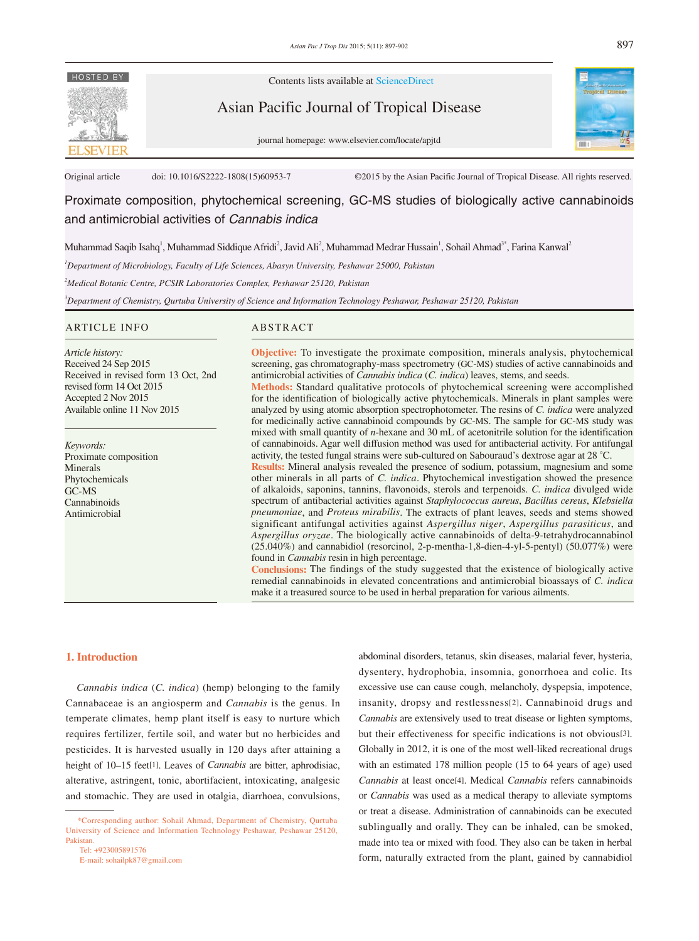

Contents lists available at ScienceDirect

Asian Pacific Journal of Tropical Disease





Original article doi: 10.1016/S2222-1808(15)60953-7 ©2015 by the Asian Pacific Journal of Tropical Disease. All rights reserved.

Proximate composition, phytochemical screening, GC-MS studies of biologically active cannabinoids and antimicrobial activities of *Cannabis indica*

Muhammad Saqib Isahq<sup>1</sup>, Muhammad Siddique Afridi<sup>2</sup>, Javid Ali<sup>2</sup>, Muhammad Medrar Hussain<sup>1</sup>, Sohail Ahmad<sup>3\*</sup>, Farina Kanwal<sup>2</sup>

*1 Department of Microbiology, Faculty of Life Sciences, Abasyn University, Peshawar 25000, Pakistan*

*2 Medical Botanic Centre, PCSIR Laboratories Complex, Peshawar 25120, Pakistan*

*3 Department of Chemistry, Qurtuba University of Science and Information Technology Peshawar, Peshawar 25120, Pakistan* 

#### ARTICLE INFO ABSTRACT

*Article history:* Received 24 Sep 2015 Received in revised form 13 Oct, 2nd revised form 14 Oct 2015 Accepted 2 Nov 2015 Available online 11 Nov 2015

*Keywords:* Proximate composition Minerals Phytochemicals GC-MS Cannabinoids Antimicrobial

**Objective:** To investigate the proximate composition, minerals analysis, phytochemical screening, gas chromatography-mass spectrometry (GC-MS) studies of active cannabinoids and antimicrobial activities of *Cannabis indica* (*C. indica*) leaves, stems, and seeds.

**Methods:** Standard qualitative protocols of phytochemical screening were accomplished for the identification of biologically active phytochemicals. Minerals in plant samples were analyzed by using atomic absorption spectrophotometer. The resins of *C. indica* were analyzed for medicinally active cannabinoid compounds by GC-MS. The sample for GC-MS study was mixed with small quantity of *n*-hexane and 30 mL of acetonitrile solution for the identification of cannabinoids. Agar well diffusion method was used for antibacterial activity. For antifungal activity, the tested fungal strains were sub-cultured on Sabouraud's dextrose agar at 28 °C.

**Results:** Mineral analysis revealed the presence of sodium, potassium, magnesium and some other minerals in all parts of *C. indica*. Phytochemical investigation showed the presence of alkaloids, saponins, tannins, flavonoids, sterols and terpenoids. *C. indica* divulged wide spectrum of antibacterial activities against *Staphylococcus aureus*, *Bacillus cereus*, *Klebsiella pneumoniae*, and *Proteus mirabilis*. The extracts of plant leaves, seeds and stems showed significant antifungal activities against *Aspergillus niger*, *Aspergillus parasiticus*, and *Aspergillus oryzae*. The biologically active cannabinoids of delta-9-tetrahydrocannabinol (25.040%) and cannabidiol (resorcinol, 2-p-mentha-1,8-dien-4-yl-5-pentyl) (50.077%) were found in *Cannabis* resin in high percentage.

**Conclusions:** The findings of the study suggested that the existence of biologically active remedial cannabinoids in elevated concentrations and antimicrobial bioassays of *C. indica* make it a treasured source to be used in herbal preparation for various ailments.

## **1. Introduction**

 *Cannabis indica* (*C. indica*) (hemp) belonging to the family Cannabaceae is an angiosperm and *Cannabis* is the genus. In temperate climates, hemp plant itself is easy to nurture which requires fertilizer, fertile soil, and water but no herbicides and pesticides. It is harvested usually in 120 days after attaining a height of 10–15 feet[1]. Leaves of *Cannabis* are bitter, aphrodisiac, alterative, astringent, tonic, abortifacient, intoxicating, analgesic and stomachic. They are used in otalgia, diarrhoea, convulsions,

 Tel: +923005891576 E-mail: sohailpk87@gmail.com dysentery, hydrophobia, insomnia, gonorrhoea and colic. Its excessive use can cause cough, melancholy, dyspepsia, impotence, insanity, dropsy and restlessness[2]. Cannabinoid drugs and *Cannabis* are extensively used to treat disease or lighten symptoms, but their effectiveness for specific indications is not obvious[3]. Globally in 2012, it is one of the most well-liked recreational drugs with an estimated 178 million people (15 to 64 years of age) used *Cannabis* at least once[4]. Medical *Cannabis* refers cannabinoids or *Cannabis* was used as a medical therapy to alleviate symptoms or treat a disease. Administration of cannabinoids can be executed sublingually and orally. They can be inhaled, can be smoked, made into tea or mixed with food. They also can be taken in herbal

form, naturally extracted from the plant, gained by cannabidiol

abdominal disorders, tetanus, skin diseases, malarial fever, hysteria,

897

 <sup>\*</sup>Corresponding author: Sohail Ahmad, Department of Chemistry, Qurtuba University of Science and Information Technology Peshawar, Peshawar 25120, Pakistan.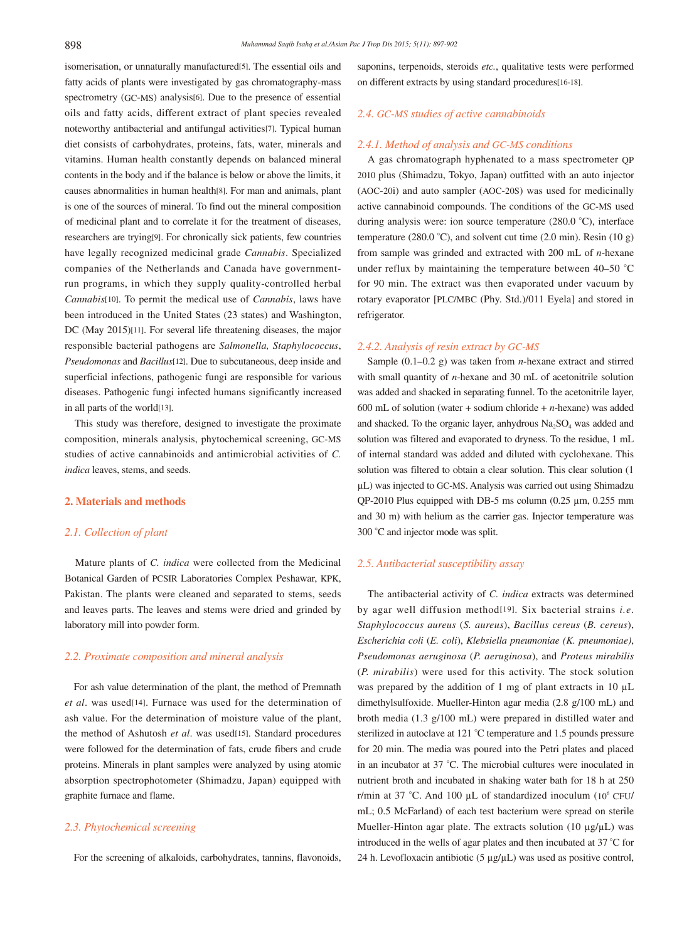isomerisation, or unnaturally manufactured[5]. The essential oils and fatty acids of plants were investigated by gas chromatography-mass spectrometry (GC-MS) analysis[6]. Due to the presence of essential oils and fatty acids, different extract of plant species revealed noteworthy antibacterial and antifungal activities[7]. Typical human diet consists of carbohydrates, proteins, fats, water, minerals and vitamins. Human health constantly depends on balanced mineral contents in the body and if the balance is below or above the limits, it causes abnormalities in human health[8]. For man and animals, plant is one of the sources of mineral. To find out the mineral composition of medicinal plant and to correlate it for the treatment of diseases, researchers are trying[9]. For chronically sick patients, few countries have legally recognized medicinal grade *Cannabis*. Specialized companies of the Netherlands and Canada have governmentrun programs, in which they supply quality-controlled herbal *Cannabis*[10]. To permit the medical use of *Cannabis*, laws have been introduced in the United States (23 states) and Washington, DC (May 2015)[11]. For several life threatening diseases, the major responsible bacterial pathogens are *Salmonella, Staphylococcus*, *Pseudomonas* and *Bacillus*[12]. Due to subcutaneous, deep inside and superficial infections, pathogenic fungi are responsible for various diseases. Pathogenic fungi infected humans significantly increased in all parts of the world[13].

 This study was therefore, designed to investigate the proximate composition, minerals analysis, phytochemical screening, GC-MS studies of active cannabinoids and antimicrobial activities of *C. indica* leaves, stems, and seeds.

## **2. Materials and methods**

## *2.1. Collection of plant*

 Mature plants of *C. indica* were collected from the Medicinal Botanical Garden of PCSIR Laboratories Complex Peshawar, KPK, Pakistan. The plants were cleaned and separated to stems, seeds and leaves parts. The leaves and stems were dried and grinded by laboratory mill into powder form.

### *2.2. Proximate composition and mineral analysis*

 For ash value determination of the plant, the method of Premnath *et al*. was used[14]. Furnace was used for the determination of ash value. For the determination of moisture value of the plant, the method of Ashutosh *et al*. was used[15]. Standard procedures were followed for the determination of fats, crude fibers and crude proteins. Minerals in plant samples were analyzed by using atomic absorption spectrophotometer (Shimadzu, Japan) equipped with graphite furnace and flame.

## *2.3. Phytochemical screening*

For the screening of alkaloids, carbohydrates, tannins, flavonoids,

saponins, terpenoids, steroids *etc.*, qualitative tests were performed on different extracts by using standard procedures[16-18].

## *2.4. GC-MS studies of active cannabinoids*

### *2.4.1. Method of analysis and GC-MS conditions*

 A gas chromatograph hyphenated to a mass spectrometer QP 2010 plus (Shimadzu, Tokyo, Japan) outfitted with an auto injector (AOC-20i) and auto sampler (AOC-20S) was used for medicinally active cannabinoid compounds. The conditions of the GC-MS used during analysis were: ion source temperature (280.0 °C), interface temperature (280.0 °C), and solvent cut time (2.0 min). Resin (10 g) from sample was grinded and extracted with 200 mL of *n*-hexane under reflux by maintaining the temperature between 40–50 °C for 90 min. The extract was then evaporated under vacuum by rotary evaporator [PLC/MBC (Phy. Std.)/011 Eyela] and stored in refrigerator.

## *2.4.2. Analysis of resin extract by GC-MS*

 Sample (0.1–0.2 g) was taken from *n*-hexane extract and stirred with small quantity of *n*-hexane and 30 mL of acetonitrile solution was added and shacked in separating funnel. To the acetonitrile layer, 600 mL of solution (water + sodium chloride + *n*-hexane) was added and shacked. To the organic layer, anhydrous  $Na<sub>2</sub>SO<sub>4</sub>$  was added and solution was filtered and evaporated to dryness. To the residue, 1 mL of internal standard was added and diluted with cyclohexane. This solution was filtered to obtain a clear solution. This clear solution (1 µL) was injected to GC-MS. Analysis was carried out using Shimadzu QP-2010 Plus equipped with DB-5 ms column  $(0.25 \mu m, 0.255 \mu m)$ and 30 m) with helium as the carrier gas. Injector temperature was 300 °C and injector mode was split.

## *2.5. Antibacterial susceptibility assay*

 The antibacterial activity of *C. indica* extracts was determined by agar well diffusion method[19]. Six bacterial strains *i.e*. *Staphylococcus aureus* (*S. aureus*), *Bacillus cereus* (*B. cereus*), *Escherichia coli* (*E. coli*), *Klebsiella pneumoniae (K. pneumoniae)*, *Pseudomonas aeruginosa* (*P. aeruginosa*), and *Proteus mirabilis* (*P. mirabilis*) were used for this activity. The stock solution was prepared by the addition of 1 mg of plant extracts in 10  $\mu$ L dimethylsulfoxide. Mueller-Hinton agar media (2.8 g/100 mL) and broth media (1.3 g/100 mL) were prepared in distilled water and sterilized in autoclave at 121 °C temperature and 1.5 pounds pressure for 20 min. The media was poured into the Petri plates and placed in an incubator at 37 °C. The microbial cultures were inoculated in nutrient broth and incubated in shaking water bath for 18 h at 250 r/min at 37 °C. And 100 µL of standardized inoculum (106 CFU/ mL; 0.5 McFarland) of each test bacterium were spread on sterile Mueller-Hinton agar plate. The extracts solution  $(10 \mu g/\mu L)$  was introduced in the wells of agar plates and then incubated at 37 °C for 24 h. Levofloxacin antibiotic (5  $\mu$ g/ $\mu$ L) was used as positive control,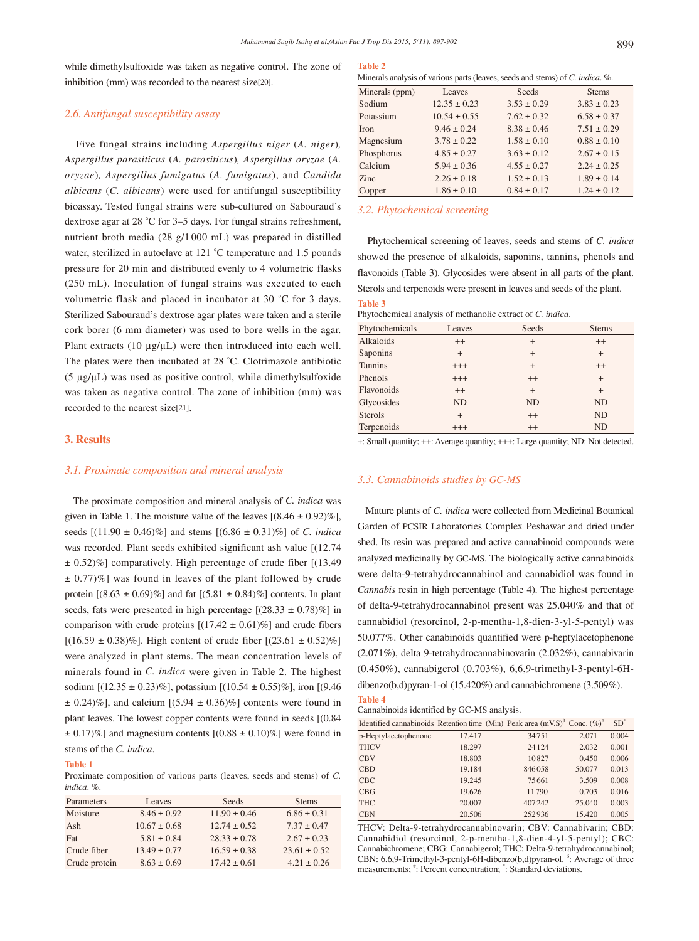while dimethylsulfoxide was taken as negative control. The zone of inhibition (mm) was recorded to the nearest size[20].

## *2.6. Antifungal susceptibility assay*

 Five fungal strains including *Aspergillus niger* (*A. niger*)*, Aspergillus parasiticus* (*A. parasiticus*)*, Aspergillus oryzae* (*A. oryzae*)*, Aspergillus fumigatus* (*A. fumigatus*), and *Candida albicans* (*C. albicans*) were used for antifungal susceptibility bioassay. Tested fungal strains were sub-cultured on Sabouraud's dextrose agar at 28 °C for 3–5 days. For fungal strains refreshment, nutrient broth media (28 g/1 000 mL) was prepared in distilled water, sterilized in autoclave at 121 °C temperature and 1.5 pounds pressure for 20 min and distributed evenly to 4 volumetric flasks (250 mL). Inoculation of fungal strains was executed to each volumetric flask and placed in incubator at 30 °C for 3 days. Sterilized Sabouraud's dextrose agar plates were taken and a sterile cork borer (6 mm diameter) was used to bore wells in the agar. Plant extracts (10 µg/µL) were then introduced into each well. The plates were then incubated at 28 °C. Clotrimazole antibiotic (5 µg/µL) was used as positive control, while dimethylsulfoxide was taken as negative control. The zone of inhibition (mm) was recorded to the nearest size[21].

## **3. Results**

## *3.1. Proximate composition and mineral analysis*

 The proximate composition and mineral analysis of *C. indica* was given in Table 1. The moisture value of the leaves  $[(8.46 \pm 0.92)\%]$ , seeds [(11.90 ± 0.46)%] and stems [(6.86 ± 0.31)%] of *C. indica* was recorded. Plant seeds exhibited significant ash value [(12.74 ± 0.52)%] comparatively. High percentage of crude fiber [(13.49  $\pm$  0.77)%] was found in leaves of the plant followed by crude protein  $[(8.63 \pm 0.69)\%]$  and fat  $[(5.81 \pm 0.84)\%]$  contents. In plant seeds, fats were presented in high percentage  $[(28.33 \pm 0.78)\%]$  in comparison with crude proteins  $[(17.42 \pm 0.61)\%]$  and crude fibers  $[(16.59 \pm 0.38)\%]$ . High content of crude fiber  $[(23.61 \pm 0.52)\%]$ were analyzed in plant stems. The mean concentration levels of minerals found in *C. indica* were given in Table 2. The highest sodium  $[(12.35 \pm 0.23)\%]$ , potassium  $[(10.54 \pm 0.55)\%]$ , iron  $[(9.46$  $\pm$  0.24)%], and calcium [(5.94  $\pm$  0.36)%] contents were found in plant leaves. The lowest copper contents were found in seeds [(0.84  $\pm$  0.17)%] and magnesium contents  $[(0.88 \pm 0.10)\%]$  were found in stems of the *C. indica*.

#### **Table 1**

Proximate composition of various parts (leaves, seeds and stems) of *C. indica*. %.

| Parameters    | Leaves           | Seeds            | <b>Stems</b>     |
|---------------|------------------|------------------|------------------|
| Moisture      | $8.46 \pm 0.92$  | $11.90 \pm 0.46$ | $6.86 \pm 0.31$  |
| Ash           | $10.67 \pm 0.68$ | $12.74 \pm 0.52$ | $7.37 \pm 0.47$  |
| Fat           | $5.81 \pm 0.84$  | $28.33 \pm 0.78$ | $2.67 \pm 0.23$  |
| Crude fiber   | $13.49 \pm 0.77$ | $16.59 \pm 0.38$ | $23.61 \pm 0.52$ |
| Crude protein | $8.63 \pm 0.69$  | $17.42 \pm 0.61$ | $4.21 \pm 0.26$  |

## **Table 2**

Minerals analysis of various parts (leaves, seeds and stems) of *C. indica*. %.

| Minerals (ppm) | Leaves           | Seeds           | <b>Stems</b>    |
|----------------|------------------|-----------------|-----------------|
| Sodium         | $12.35 \pm 0.23$ | $3.53 \pm 0.29$ | $3.83 \pm 0.23$ |
| Potassium      | $10.54 \pm 0.55$ | $7.62 \pm 0.32$ | $6.58 \pm 0.37$ |
| <b>Iron</b>    | $9.46 \pm 0.24$  | $8.38 \pm 0.46$ | $7.51 \pm 0.29$ |
| Magnesium      | $3.78 \pm 0.22$  | $1.58 \pm 0.10$ | $0.88 \pm 0.10$ |
| Phosphorus     | $4.85 \pm 0.27$  | $3.63 \pm 0.12$ | $2.67 \pm 0.15$ |
| Calcium        | $5.94 \pm 0.36$  | $4.55 \pm 0.27$ | $2.24 \pm 0.25$ |
| Zinc.          | $2.26 \pm 0.18$  | $1.52 \pm 0.13$ | $1.89 \pm 0.14$ |
| Copper         | $1.86 \pm 0.10$  | $0.84 \pm 0.17$ | $1.24 \pm 0.12$ |

## *3.2. Phytochemical screening*

 Phytochemical screening of leaves, seeds and stems of *C. indica* showed the presence of alkaloids, saponins, tannins, phenols and flavonoids (Table 3). Glycosides were absent in all parts of the plant. Sterols and terpenoids were present in leaves and seeds of the plant.

# **Table 3**

| Phytochemical analysis of methanolic extract of C. indica. |  |  |  |  |  |
|------------------------------------------------------------|--|--|--|--|--|
|------------------------------------------------------------|--|--|--|--|--|

| Phytochemicals | Leaves    | Seeds     | <b>Stems</b> |
|----------------|-----------|-----------|--------------|
| Alkaloids      | $++$      | $^{+}$    | $++$         |
| Saponins       | $+$       | $+$       | $+$          |
| <b>Tannins</b> | $+++$     | $+$       | $++$         |
| Phenols        | $+++$     | $++$      | $+$          |
| Flavonoids     | $++$      | $+$       | $^{+}$       |
| Glycosides     | <b>ND</b> | <b>ND</b> | <b>ND</b>    |
| <b>Sterols</b> | $+$       | $++$      | <b>ND</b>    |
| Terpenoids     | $^{+++}$  | $++$      | ND           |

+: Small quantity; ++: Average quantity; +++: Large quantity; ND: Not detected.

#### *3.3. Cannabinoids studies by GC-MS*

 Mature plants of *C. indica* were collected from Medicinal Botanical Garden of PCSIR Laboratories Complex Peshawar and dried under shed. Its resin was prepared and active cannabinoid compounds were analyzed medicinally by GC-MS. The biologically active cannabinoids were delta-9-tetrahydrocannabinol and cannabidiol was found in *Cannabis* resin in high percentage (Table 4). The highest percentage of delta-9-tetrahydrocannabinol present was 25.040% and that of cannabidiol (resorcinol, 2-p-mentha-1,8-dien-3-yl-5-pentyl) was 50.077%. Other canabinoids quantified were p-heptylacetophenone (2.071%), delta 9-tetrahydrocannabinovarin (2.032%), cannabivarin (0.450%), cannabigerol (0.703%), 6,6,9-trimethyl-3-pentyl-6Hdibenzo(b,d)pyran-1-ol (15.420%) and cannabichromene (3.509%). **Table 4**

Cannabinoids identified by GC-MS analysis.

| Identified cannabinoids Retention time (Min) Peak area $(mVS)^{\beta}$ Conc. (%) <sup>#</sup> |        |        |        | $SD^"$ |
|-----------------------------------------------------------------------------------------------|--------|--------|--------|--------|
| p-Heptylacetophenone                                                                          | 17.417 | 34751  | 2.071  | 0.004  |
| <b>THCV</b>                                                                                   | 18.297 | 24124  | 2.032  | 0.001  |
| <b>CBV</b>                                                                                    | 18.803 | 10827  | 0.450  | 0.006  |
| <b>CBD</b>                                                                                    | 19.184 | 846058 | 50.077 | 0.013  |
| <b>CBC</b>                                                                                    | 19.245 | 75661  | 3.509  | 0.008  |
| CBG                                                                                           | 19.626 | 11790  | 0.703  | 0.016  |
| <b>THC</b>                                                                                    | 20.007 | 407242 | 25.040 | 0.003  |
| <b>CBN</b>                                                                                    | 20.506 | 252936 | 15.420 | 0.005  |

THCV: Delta-9-tetrahydrocannabinovarin; CBV: Cannabivarin; CBD: Cannabidiol (resorcinol, 2-p-mentha-1,8-dien-4-yl-5-pentyl); CBC: Cannabichromene; CBG: Cannabigerol; THC: Delta-9-tetrahydrocannabinol; CBN: 6,6,9-Trimethyl-3-pentyl-6H-dibenzo(b,d)pyran-ol. <sup>β</sup>: Average of three measurements;  $*$ : Percent concentration;  $*$ : Standard deviations.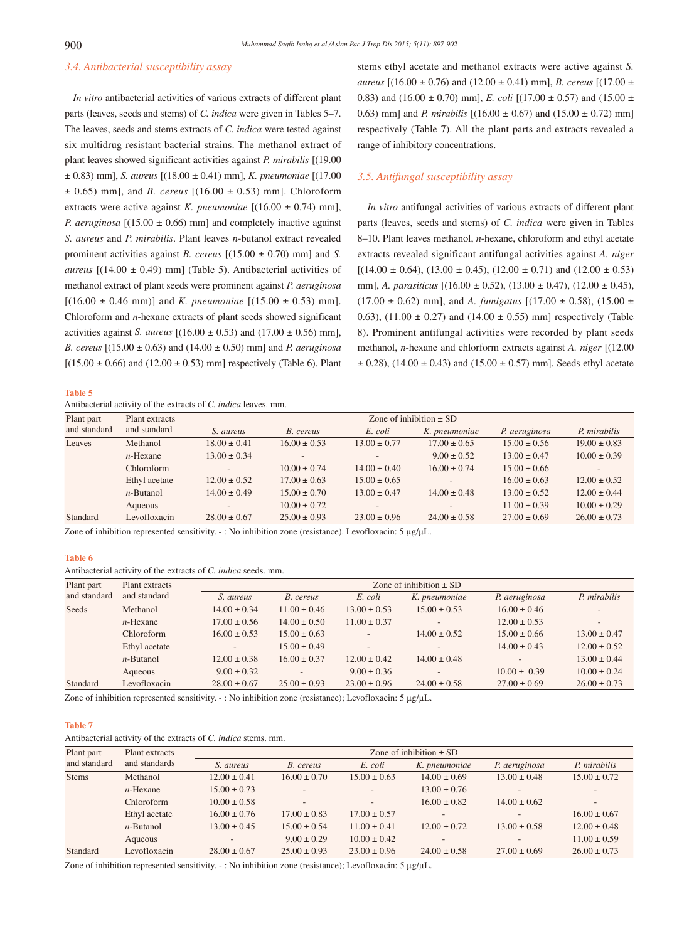## *3.4. Antibacterial susceptibility assay*

 *In vitro* antibacterial activities of various extracts of different plant parts (leaves, seeds and stems) of *C. indica* were given in Tables 5–7. The leaves, seeds and stems extracts of *C. indica* were tested against six multidrug resistant bacterial strains. The methanol extract of plant leaves showed significant activities against *P. mirabilis* [(19.00 ± 0.83) mm], *S. aureus* [(18.00 ± 0.41) mm], *K. pneumoniae* [(17.00 ± 0.65) mm], and *B. cereus* [(16.00 ± 0.53) mm]. Chloroform extracts were active against *K. pneumoniae*  $[(16.00 \pm 0.74)$  mm], *P. aeruginosa*  $[(15.00 \pm 0.66)$  mm and completely inactive against *S. aureus* and *P. mirabilis*. Plant leaves *n*-butanol extract revealed prominent activities against *B. cereus*  $[(15.00 \pm 0.70)$  mm] and *S. aureus*  $[(14.00 \pm 0.49)$  mm] (Table 5). Antibacterial activities of methanol extract of plant seeds were prominent against *P. aeruginosa*  $[(16.00 \pm 0.46 \text{ mm})]$  and *K. pneumoniae*  $[(15.00 \pm 0.53) \text{ mm}]$ . Chloroform and *n*-hexane extracts of plant seeds showed significant activities against *S. aureus*  $[(16.00 \pm 0.53)$  and  $(17.00 \pm 0.56)$  mm], *B. cereus* [(15.00 ± 0.63) and (14.00 ± 0.50) mm] and *P. aeruginosa*  $[(15.00 \pm 0.66)$  and  $(12.00 \pm 0.53)$  mm] respectively (Table 6). Plant

**Table 5**

Antibacterial activity of the extracts of *C. indica* leaves. mm.

stems ethyl acetate and methanol extracts were active against *S. aureus* [(16.00 ± 0.76) and (12.00 ± 0.41) mm], *B. cereus* [(17.00 ± 0.83) and (16.00  $\pm$  0.70) mm], *E. coli* [(17.00  $\pm$  0.57) and (15.00  $\pm$ 0.63) mm] and *P. mirabilis* [(16.00 ± 0.67) and (15.00 ± 0.72) mm] respectively (Table 7). All the plant parts and extracts revealed a range of inhibitory concentrations.

#### *3.5. Antifungal susceptibility assay*

 *In vitro* antifungal activities of various extracts of different plant parts (leaves, seeds and stems) of *C. indica* were given in Tables 8–10. Plant leaves methanol, *n*-hexane, chloroform and ethyl acetate extracts revealed significant antifungal activities against *A. niger*  $[(14.00 \pm 0.64), (13.00 \pm 0.45), (12.00 \pm 0.71)$  and  $(12.00 \pm 0.53)$ mm], *A. parasiticus* [(16.00 ± 0.52), (13.00 ± 0.47), (12.00 ± 0.45),  $(17.00 \pm 0.62)$  mm], and *A. fumigatus*  $[(17.00 \pm 0.58), (15.00 \pm 0.62)$ 0.63), (11.00  $\pm$  0.27) and (14.00  $\pm$  0.55) mm] respectively (Table 8). Prominent antifungal activities were recorded by plant seeds methanol, *n*-hexane and chlorform extracts against *A. niger* [(12.00  $\pm$  0.28), (14.00  $\pm$  0.43) and (15.00  $\pm$  0.57) mm]. Seeds ethyl acetate

| Plant part   | Plant extracts |                          |                  |                  |                  |                  |                  |
|--------------|----------------|--------------------------|------------------|------------------|------------------|------------------|------------------|
| and standard | and standard   | S. aureus                | B. cereus        | E. coli          | K. pneumoniae    | P. aeruginosa    | P. mirabilis     |
| Leaves       | Methanol       | $18.00 \pm 0.41$         | $16.00 \pm 0.53$ | $13.00 \pm 0.77$ | $17.00 \pm 0.65$ | $15.00 \pm 0.56$ | $19.00 \pm 0.83$ |
|              | $n$ -Hexane    | $13.00 \pm 0.34$         |                  |                  | $9.00 \pm 0.52$  | $13.00 \pm 0.47$ | $10.00 \pm 0.39$ |
|              | Chloroform     | $\overline{\phantom{a}}$ | $10.00 \pm 0.74$ | $14.00 \pm 0.40$ | $16.00 \pm 0.74$ | $15.00 \pm 0.66$ |                  |
|              | Ethyl acetate  | $12.00 \pm 0.52$         | $17.00 \pm 0.63$ | $15.00 \pm 0.65$ |                  | $16.00 \pm 0.63$ | $12.00 \pm 0.52$ |
|              | $n$ -Butanol   | $14.00 \pm 0.49$         | $15.00 \pm 0.70$ | $13.00 \pm 0.47$ | $14.00 \pm 0.48$ | $13.00 \pm 0.52$ | $12.00 \pm 0.44$ |
|              | Aqueous        | $\overline{\phantom{a}}$ | $10.00 \pm 0.72$ | $\overline{a}$   |                  | $11.00 \pm 0.39$ | $10.00 \pm 0.29$ |
| Standard     | Levofloxacin   | $28.00 \pm 0.67$         | $25.00 \pm 0.93$ | $23.00 \pm 0.96$ | $24.00 \pm 0.58$ | $27.00 \pm 0.69$ | $26.00 \pm 0.73$ |
|              |                |                          |                  |                  |                  |                  |                  |

Zone of inhibition represented sensitivity. - : No inhibition zone (resistance). Levofloxacin: 5 µg/µL.

#### **Table 6**

Antibacterial activity of the extracts of *C. indica* seeds. mm.

| Plant part   | Plant extracts | Zone of inhibition $\pm$ SD |                  |                          |                  |                          |                          |
|--------------|----------------|-----------------------------|------------------|--------------------------|------------------|--------------------------|--------------------------|
| and standard | and standard   | S. aureus                   | B. cereus        | E. coli                  | K. pneumoniae    | P. aeruginosa            | P. mirabilis             |
| Seeds        | Methanol       | $14.00 \pm 0.34$            | $11.00 \pm 0.46$ | $13.00 \pm 0.53$         | $15.00 \pm 0.53$ | $16.00 \pm 0.46$         | $\overline{\phantom{0}}$ |
|              | $n$ -Hexane    | $17.00 \pm 0.56$            | $14.00 \pm 0.50$ | $11.00 \pm 0.37$         |                  | $12.00 \pm 0.53$         | $\overline{\phantom{0}}$ |
|              | Chloroform     | $16.00 \pm 0.53$            | $15.00 \pm 0.63$ |                          | $14.00 \pm 0.52$ | $15.00 \pm 0.66$         | $13.00 \pm 0.47$         |
|              | Ethyl acetate  | $\overline{\phantom{a}}$    | $15.00 \pm 0.49$ | $\overline{\phantom{0}}$ |                  | $14.00 \pm 0.43$         | $12.00 \pm 0.52$         |
|              | $n$ -Butanol   | $12.00 \pm 0.38$            | $16.00 \pm 0.37$ | $12.00 \pm 0.42$         | $14.00 \pm 0.48$ | $\overline{\phantom{a}}$ | $13.00 \pm 0.44$         |
|              | Aqueous        | $9.00 \pm 0.32$             | -                | $9.00 \pm 0.36$          |                  | $10.00 \pm 0.39$         | $10.00 \pm 0.24$         |
| Standard     | Levofloxacin   | $28.00 \pm 0.67$            | $25.00 \pm 0.93$ | $23.00 \pm 0.96$         | $24.00 \pm 0.58$ | $27.00 \pm 0.69$         | $26.00 \pm 0.73$         |

Zone of inhibition represented sensitivity. - : No inhibition zone (resistance); Levofloxacin: 5 µg/µL.

#### **Table 7**

Antibacterial activity of the extracts of *C. indica* stems. mm.

| Plant part   | Plant extracts |                  |                  |                              |                          |                          |                          |
|--------------|----------------|------------------|------------------|------------------------------|--------------------------|--------------------------|--------------------------|
| and standard | and standards  | <i>S. aureus</i> | B. cereus        | E. coli                      | K. pneumoniae            | P. aeruginosa            | P. mirabilis             |
| <b>Stems</b> | Methanol       | $12.00 \pm 0.41$ | $16.00 \pm 0.70$ | $15.00 \pm 0.63$             | $14.00 \pm 0.69$         | $13.00 \pm 0.48$         | $15.00 \pm 0.72$         |
|              | $n$ -Hexane    | $15.00 \pm 0.73$ | ۰                | $\overline{\phantom{a}}$     | $13.00 \pm 0.76$         |                          | $\overline{\phantom{m}}$ |
|              | Chloroform     | $10.00 \pm 0.58$ | ۰                | $\qquad \qquad \blacksquare$ | $16.00 \pm 0.82$         | $14.00 \pm 0.62$         |                          |
|              | Ethyl acetate  | $16.00 \pm 0.76$ | $17.00 \pm 0.83$ | $17.00 \pm 0.57$             | $\overline{\phantom{0}}$ | $\overline{\phantom{a}}$ | $16.00 \pm 0.67$         |
|              | $n$ -Butanol   | $13.00 \pm 0.45$ | $15.00 \pm 0.54$ | $11.00 \pm 0.41$             | $12.00 \pm 0.72$         | $13.00 \pm 0.58$         | $12.00 \pm 0.48$         |
|              | Aqueous        |                  | $9.00 \pm 0.29$  | $10.00 \pm 0.42$             |                          |                          | $11.00 \pm 0.59$         |
| Standard     | Levofloxacin   | $28.00 \pm 0.67$ | $25.00 \pm 0.93$ | $23.00 \pm 0.96$             | $24.00 \pm 0.58$         | $27.00 \pm 0.69$         | $26.00 \pm 0.73$         |

Zone of inhibition represented sensitivity. - : No inhibition zone (resistance); Levofloxacin: 5 µg/µL.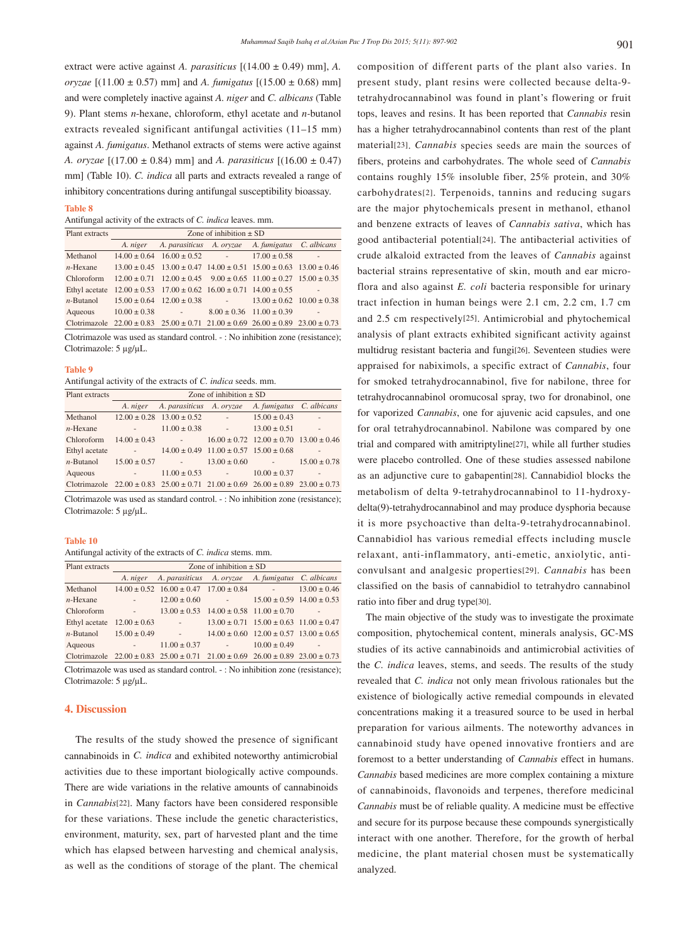extract were active against *A. parasiticus* [(14.00 ± 0.49) mm], *A. oryzae* [(11.00 ± 0.57) mm] and *A. fumigatus* [(15.00 ± 0.68) mm] and were completely inactive against *A. niger* and *C. albicans* (Table 9). Plant stems *n*-hexane, chloroform, ethyl acetate and *n-*butanol extracts revealed significant antifungal activities (11–15 mm) against *A. fumigatus*. Methanol extracts of stems were active against *A. oryzae* [(17.00 ± 0.84) mm] and *A. parasiticus* [(16.00 ± 0.47) mm] (Table 10). *C. indica* all parts and extracts revealed a range of inhibitory concentrations during antifungal susceptibility bioassay.

#### **Table 8**

Antifungal activity of the extracts of *C. indica* leaves. mm.

| Plant extracts | Zone of inhibition $\pm$ SD                                                                           |  |                                  |        |  |  |  |  |
|----------------|-------------------------------------------------------------------------------------------------------|--|----------------------------------|--------|--|--|--|--|
|                | A. niger A. parasiticus A. oryzae A. fumigatus C. albicans                                            |  |                                  |        |  |  |  |  |
| Methanol       | $14.00 \pm 0.64$ $16.00 \pm 0.52$ -                                                                   |  | $17.00 \pm 0.58$                 | $\sim$ |  |  |  |  |
|                | <i>n</i> -Hexane $13.00 \pm 0.45$ $13.00 \pm 0.47$ $14.00 \pm 0.51$ $15.00 \pm 0.63$ $13.00 \pm 0.46$ |  |                                  |        |  |  |  |  |
| Chloroform     | $12.00 \pm 0.71$ $12.00 \pm 0.45$ $9.00 \pm 0.65$ $11.00 \pm 0.27$ $15.00 \pm 0.35$                   |  |                                  |        |  |  |  |  |
|                | Ethyl acetate $12.00 \pm 0.53$ $17.00 \pm 0.62$ $16.00 \pm 0.71$ $14.00 \pm 0.55$                     |  |                                  |        |  |  |  |  |
|                | <i>n</i> -Butanol $15.00 \pm 0.64$ $12.00 \pm 0.38$ - $13.00 \pm 0.62$ $10.00 \pm 0.38$               |  |                                  |        |  |  |  |  |
|                | Aqueous $10.00 \pm 0.38$ -                                                                            |  | $8.00 \pm 0.36$ 11.00 $\pm 0.39$ |        |  |  |  |  |
|                | Clotrimazole $22.00 \pm 0.83$ $25.00 \pm 0.71$ $21.00 \pm 0.69$ $26.00 \pm 0.89$ $23.00 \pm 0.73$     |  |                                  |        |  |  |  |  |
|                |                                                                                                       |  |                                  |        |  |  |  |  |

Clotrimazole was used as standard control. - : No inhibition zone (resistance); Clotrimazole: 5 µg/µL.

#### **Table 9**

Antifungal activity of the extracts of *C. indica* seeds. mm.

| Plant extracts | Zone of inhibition $\pm$ SD |                                                                                                   |                                                    |                                                    |                  |  |  |
|----------------|-----------------------------|---------------------------------------------------------------------------------------------------|----------------------------------------------------|----------------------------------------------------|------------------|--|--|
|                |                             | A. niger A. parasiticus A. oryzae                                                                 |                                                    | A. fumigatus C. albicans                           |                  |  |  |
| Methanol       |                             | $12.00 \pm 0.28$ $13.00 \pm 0.52$                                                                 |                                                    | $15.00 \pm 0.43$                                   | ٠                |  |  |
| $n$ -Hexane    | $\sim 100$                  | $11.00 \pm 0.38$                                                                                  | $\sim$                                             | $13.00 \pm 0.51$                                   | $\overline{a}$   |  |  |
| Chloroform     | $14.00 \pm 0.43$            |                                                                                                   |                                                    | $16.00 \pm 0.72$ $12.00 \pm 0.70$ $13.00 \pm 0.46$ |                  |  |  |
| Ethyl acetate  | <b>Contractor</b>           |                                                                                                   | $14.00 \pm 0.49$ $11.00 \pm 0.57$ $15.00 \pm 0.68$ |                                                    |                  |  |  |
| $n$ -Butanol   | $15.00 \pm 0.57$            | <b>COLLEN</b>                                                                                     | $13.00 \pm 0.60$ -                                 |                                                    | $15.00 \pm 0.78$ |  |  |
| Aqueous        | <b>Contractor</b>           | $11.00 \pm 0.53$                                                                                  | <b>Contractor</b>                                  | $10.00 \pm 0.37$                                   | ä,               |  |  |
|                |                             | Clotrimazole $22.00 \pm 0.83$ $25.00 \pm 0.71$ $21.00 \pm 0.69$ $26.00 \pm 0.89$ $23.00 \pm 0.73$ |                                                    |                                                    |                  |  |  |

Clotrimazole was used as standard control. - : No inhibition zone (resistance); Clotrimazole: 5 µg/µL.

#### **Table 10**

Antifungal activity of the extracts of *C. indica* stems. mm.

| Plant extracts                     | Zone of inhibition $\pm$ SD                                                                                               |                                                                                                   |                                                                                                                                                                                                                                                                                                                                                                                                                     |                                                    |                                   |  |  |  |
|------------------------------------|---------------------------------------------------------------------------------------------------------------------------|---------------------------------------------------------------------------------------------------|---------------------------------------------------------------------------------------------------------------------------------------------------------------------------------------------------------------------------------------------------------------------------------------------------------------------------------------------------------------------------------------------------------------------|----------------------------------------------------|-----------------------------------|--|--|--|
|                                    |                                                                                                                           | A. niger A. parasiticus A. oryzae A. fumigatus C. albicans                                        |                                                                                                                                                                                                                                                                                                                                                                                                                     |                                                    |                                   |  |  |  |
| Methanol                           |                                                                                                                           | $14.00 \pm 0.52$ $16.00 \pm 0.47$ $17.00 \pm 0.84$ -                                              |                                                                                                                                                                                                                                                                                                                                                                                                                     |                                                    | $13.00 \pm 0.46$                  |  |  |  |
| $n$ -Hexane                        | $\sim$ - $\sim$                                                                                                           | $12.00 \pm 0.60$                                                                                  | and the state of the                                                                                                                                                                                                                                                                                                                                                                                                |                                                    | $15.00 \pm 0.59$ $14.00 \pm 0.53$ |  |  |  |
| Chloroform                         | $\omega_{\rm{max}}$                                                                                                       |                                                                                                   | $13.00 \pm 0.53$ $14.00 \pm 0.58$ $11.00 \pm 0.70$                                                                                                                                                                                                                                                                                                                                                                  |                                                    |                                   |  |  |  |
| Ethyl acetate $12.00 \pm 0.63$     |                                                                                                                           | <b>Contractor</b>                                                                                 |                                                                                                                                                                                                                                                                                                                                                                                                                     | $13.00 \pm 0.71$ $15.00 \pm 0.63$ $11.00 \pm 0.47$ |                                   |  |  |  |
| <i>n</i> -Butanol $15.00 \pm 0.49$ |                                                                                                                           | $\sim$                                                                                            |                                                                                                                                                                                                                                                                                                                                                                                                                     | $14.00 \pm 0.60$ $12.00 \pm 0.57$ $13.00 \pm 0.65$ |                                   |  |  |  |
| Aqueous                            | $\frac{1}{2} \left( \frac{1}{2} \right) \left( \frac{1}{2} \right) \left( \frac{1}{2} \right) \left( \frac{1}{2} \right)$ | $11.00 \pm 0.37$                                                                                  | $\label{eq:2.1} \frac{1}{\sqrt{2\pi}}\left(\frac{1}{\sqrt{2\pi}}\right)^{2/3} \frac{1}{\sqrt{2\pi}}\left(\frac{1}{\sqrt{2\pi}}\right)^{2/3} \frac{1}{\sqrt{2\pi}}\left(\frac{1}{\sqrt{2\pi}}\right)^{2/3} \frac{1}{\sqrt{2\pi}}\left(\frac{1}{\sqrt{2\pi}}\right)^{2/3} \frac{1}{\sqrt{2\pi}}\left(\frac{1}{\sqrt{2\pi}}\right)^{2/3} \frac{1}{\sqrt{2\pi}}\left(\frac{1}{\sqrt{2\pi}}\right)^{2/3} \frac{1}{\sqrt$ | $10.00 \pm 0.49$                                   | $\overline{\phantom{a}}$          |  |  |  |
|                                    |                                                                                                                           | Clotrimazole $22.00 \pm 0.83$ $25.00 \pm 0.71$ $21.00 \pm 0.69$ $26.00 \pm 0.89$ $23.00 \pm 0.73$ |                                                                                                                                                                                                                                                                                                                                                                                                                     |                                                    |                                   |  |  |  |
|                                    |                                                                                                                           |                                                                                                   |                                                                                                                                                                                                                                                                                                                                                                                                                     |                                                    |                                   |  |  |  |

Clotrimazole was used as standard control. - : No inhibition zone (resistance); Clotrimazole: 5 µg/µL.

## **4. Discussion**

 The results of the study showed the presence of significant cannabinoids in *C. indica* and exhibited noteworthy antimicrobial activities due to these important biologically active compounds. There are wide variations in the relative amounts of cannabinoids in *Cannabis*[22]. Many factors have been considered responsible for these variations. These include the genetic characteristics, environment, maturity, sex, part of harvested plant and the time which has elapsed between harvesting and chemical analysis, as well as the conditions of storage of the plant. The chemical

composition of different parts of the plant also varies. In present study, plant resins were collected because delta-9 tetrahydrocannabinol was found in plant's flowering or fruit tops, leaves and resins. It has been reported that *Cannabis* resin has a higher tetrahydrocannabinol contents than rest of the plant material[23]. *Cannabis* species seeds are main the sources of fibers, proteins and carbohydrates. The whole seed of *Cannabis* contains roughly 15% insoluble fiber, 25% protein, and 30% carbohydrates[2]. Terpenoids, tannins and reducing sugars are the major phytochemicals present in methanol, ethanol and benzene extracts of leaves of *Cannabis sativa*, which has good antibacterial potential[24]. The antibacterial activities of crude alkaloid extracted from the leaves of *Cannabis* against bacterial strains representative of skin, mouth and ear microflora and also against *E. coli* bacteria responsible for urinary tract infection in human beings were 2.1 cm, 2.2 cm, 1.7 cm and 2.5 cm respectively[25]. Antimicrobial and phytochemical analysis of plant extracts exhibited significant activity against multidrug resistant bacteria and fungi[26]. Seventeen studies were appraised for nabiximols, a specific extract of *Cannabis*, four for smoked tetrahydrocannabinol, five for nabilone, three for tetrahydrocannabinol oromucosal spray, two for dronabinol, one for vaporized *Cannabis*, one for ajuvenic acid capsules, and one for oral tetrahydrocannabinol. Nabilone was compared by one trial and compared with amitriptyline[27], while all further studies were placebo controlled. One of these studies assessed nabilone as an adjunctive cure to gabapentin[28]. Cannabidiol blocks the metabolism of delta 9-tetrahydrocannabinol to 11-hydroxydelta(9)-tetrahydrocannabinol and may produce dysphoria because it is more psychoactive than delta-9-tetrahydrocannabinol. Cannabidiol has various remedial effects including muscle relaxant, anti-inflammatory, anti-emetic, anxiolytic, anticonvulsant and analgesic properties[29]. *Cannabis* has been classified on the basis of cannabidiol to tetrahydro cannabinol ratio into fiber and drug type[30].

 The main objective of the study was to investigate the proximate composition, phytochemical content, minerals analysis, GC-MS studies of its active cannabinoids and antimicrobial activities of the *C. indica* leaves, stems, and seeds. The results of the study revealed that *C. indica* not only mean frivolous rationales but the existence of biologically active remedial compounds in elevated concentrations making it a treasured source to be used in herbal preparation for various ailments. The noteworthy advances in cannabinoid study have opened innovative frontiers and are foremost to a better understanding of *Cannabis* effect in humans. *Cannabis* based medicines are more complex containing a mixture of cannabinoids, flavonoids and terpenes, therefore medicinal *Cannabis* must be of reliable quality. A medicine must be effective and secure for its purpose because these compounds synergistically interact with one another. Therefore, for the growth of herbal medicine, the plant material chosen must be systematically analyzed.